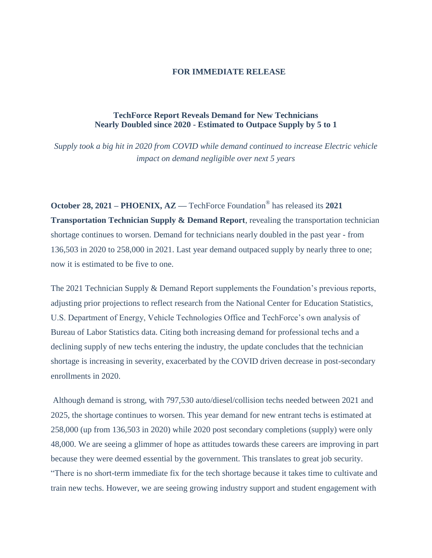## **FOR IMMEDIATE RELEASE**

## **TechForce Report Reveals Demand for New Technicians Nearly Doubled since 2020 - Estimated to Outpace Supply by 5 to 1**

*Supply took a big hit in 2020 from COVID while demand continued to increase Electric vehicle impact on demand negligible over next 5 years*

**October 28, 2021 – PHOENIX, AZ —** TechForce Foundation® has released its **2021 Transportation Technician Supply & Demand Report**, revealing the transportation technician shortage continues to worsen. Demand for technicians nearly doubled in the past year - from 136,503 in 2020 to 258,000 in 2021. Last year demand outpaced supply by nearly three to one; now it is estimated to be five to one.

The 2021 Technician Supply & Demand Report supplements the Foundation's previous reports, adjusting prior projections to reflect research from the National Center for Education Statistics, U.S. Department of Energy, Vehicle Technologies Office and TechForce's own analysis of Bureau of Labor Statistics data. Citing both increasing demand for professional techs and a declining supply of new techs entering the industry, the update concludes that the technician shortage is increasing in severity, exacerbated by the COVID driven decrease in post-secondary enrollments in 2020.

Although demand is strong, with 797,530 auto/diesel/collision techs needed between 2021 and 2025, the shortage continues to worsen. This year demand for new entrant techs is estimated at 258,000 (up from 136,503 in 2020) while 2020 post secondary completions (supply) were only 48,000. We are seeing a glimmer of hope as attitudes towards these careers are improving in part because they were deemed essential by the government. This translates to great job security. "There is no short-term immediate fix for the tech shortage because it takes time to cultivate and train new techs. However, we are seeing growing industry support and student engagement with